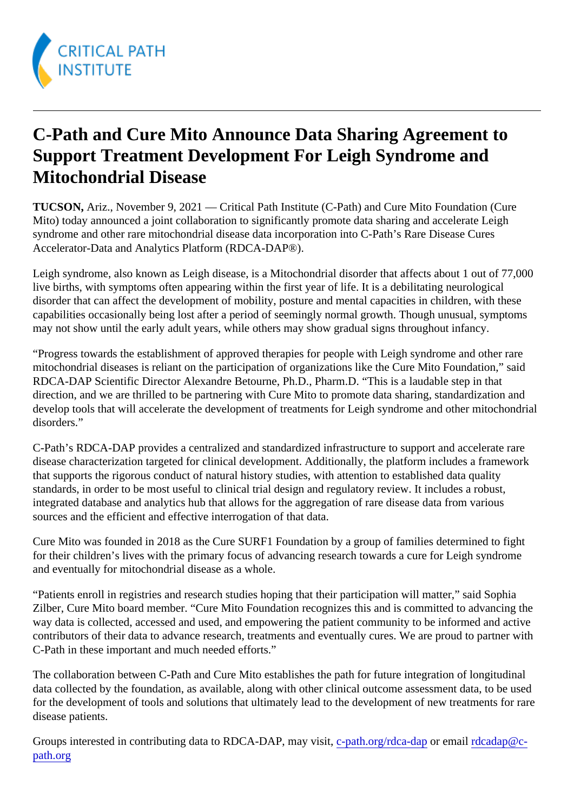## C-Path and Cure Mito Announce Data Sharing Agreement to Support Treatment Development For Leigh Syndrome and Mitochondrial Disease

TUCSON, Ariz., November 9, 2021 — Critical Path Institute (C-Path) and Cure Mito Foundation (Cure Mito) today announced a joint collaboration to significantly promote data sharing and accelerate Leigh syndrome and other rare mitochondrial disease data incorporation into C-Path's Rare Disease Cures Accelerator-Data and Analytics Platform (RDCA-DAP®).

Leigh syndrome, also known as Leigh disease, is a Mitochondrial disorder that affects about 1 out of 77,000 live births, with symptoms often appearing within the first year of life. It is a debilitating neurological disorder that can affect the development of mobility, posture and mental capacities in children, with these capabilities occasionally being lost after a period of seemingly normal growth. Though unusual, symptoms may not show until the early adult years, while others may show gradual signs throughout infancy.

"Progress towards the establishment of approved therapies for people with Leigh syndrome and other rare mitochondrial diseases is reliant on the participation of organizations like the Cure Mito Foundation," said RDCA-DAP Scientific Director Alexandre Betourne, Ph.D., Pharm.D. "This is a laudable step in that direction, and we are thrilled to be partnering with Cure Mito to promote data sharing, standardization and develop tools that will accelerate the development of treatments for Leigh syndrome and other mitochondr disorders."

C-Path's RDCA-DAP provides a centralized and standardized infrastructure to support and accelerate rare disease characterization targeted for clinical development. Additionally, the platform includes a framework that supports the rigorous conduct of natural history studies, with attention to established data quality standards, in order to be most useful to clinical trial design and regulatory review. It includes a robust, integrated database and analytics hub that allows for the aggregation of rare disease data from various sources and the efficient and effective interrogation of that data.

Cure Mito was founded in 2018 as the Cure SURF1 Foundation by a group of families determined to fight for their children's lives with the primary focus of advancing research towards a cure for Leigh syndrome and eventually for mitochondrial disease as a whole.

"Patients enroll in registries and research studies hoping that their participation will matter," said Sophia Zilber, Cure Mito board member. "Cure Mito Foundation recognizes this and is committed to advancing the way data is collected, accessed and used, and empowering the patient community to be informed and act contributors of their data to advance research, treatments and eventually cures. We are proud to partner v C-Path in these important and much needed efforts."

The collaboration between C-Path and Cure Mito establishes the path for future integration of longitudinal data collected by the foundation, as available, along with other clinical outcome assessment data, to be use for the development of tools and solutions that ultimately lead to the development of new treatments for ra disease patients.

Groups interested in contributing data to RDCA-DAP, may visitiath.org/rdca-dapr emai[l rdcadap@c](mailto:rdcadap@c-path.org)[path.org](mailto:rdcadap@c-path.org)